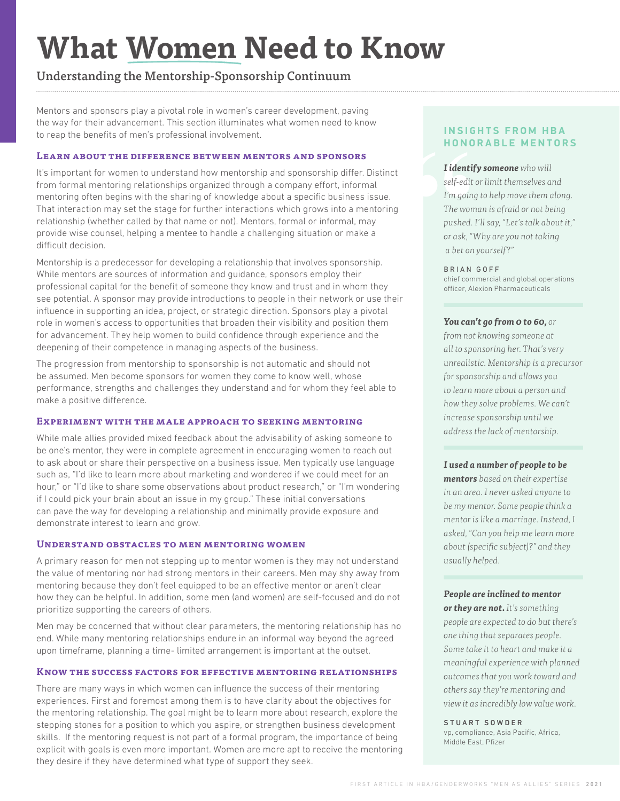# **What Women Need to Know**

# Understanding the Mentorship-Sponsorship Continuum

Mentors and sponsors play a pivotal role in women's career development, paving the way for their advancement. This section illuminates what women need to know to reap the benefits of men's professional involvement.

# **Learn about the difference between mentors and sponsors**

It's important for women to understand how mentorship and sponsorship differ. Distinct from formal mentoring relationships organized through a company effort, informal mentoring often begins with the sharing of knowledge about a specific business issue. That interaction may set the stage for further interactions which grows into a mentoring relationship (whether called by that name or not). Mentors, formal or informal, may provide wise counsel, helping a mentee to handle a challenging situation or make a difficult decision.

Mentorship is a predecessor for developing a relationship that involves sponsorship. While mentors are sources of information and guidance, sponsors employ their professional capital for the benefit of someone they know and trust and in whom they see potential. A sponsor may provide introductions to people in their network or use their influence in supporting an idea, project, or strategic direction. Sponsors play a pivotal role in women's access to opportunities that broaden their visibility and position them for advancement. They help women to build confidence through experience and the deepening of their competence in managing aspects of the business.

The progression from mentorship to sponsorship is not automatic and should not be assumed. Men become sponsors for women they come to know well, whose performance, strengths and challenges they understand and for whom they feel able to make a positive difference.

### **Experiment with the male approach to seeking mentoring**

While male allies provided mixed feedback about the advisability of asking someone to be one's mentor, they were in complete agreement in encouraging women to reach out to ask about or share their perspective on a business issue. Men typically use language such as, "I'd like to learn more about marketing and wondered if we could meet for an hour," or "I'd like to share some observations about product research," or "I'm wondering if I could pick your brain about an issue in my group." These initial conversations can pave the way for developing a relationship and minimally provide exposure and demonstrate interest to learn and grow.

### **Understand obstacles to men mentoring women**

A primary reason for men not stepping up to mentor women is they may not understand the value of mentoring nor had strong mentors in their careers. Men may shy away from mentoring because they don't feel equipped to be an effective mentor or aren't clear how they can be helpful. In addition, some men (and women) are self-focused and do not prioritize supporting the careers of others.

Men may be concerned that without clear parameters, the mentoring relationship has no end. While many mentoring relationships endure in an informal way beyond the agreed upon timeframe, planning a time- limited arrangement is important at the outset.

## **Know the success factors for effective mentoring relationships**

There are many ways in which women can influence the success of their mentoring experiences. First and foremost among them is to have clarity about the objectives for the mentoring relationship. The goal might be to learn more about research, explore the stepping stones for a position to which you aspire, or strengthen business development skills. If the mentoring request is not part of a formal program, the importance of being explicit with goals is even more important. Women are more apt to receive the mentoring they desire if they have determined what type of support they seek.

# **INSIGHTS FROM HBA HONORABLE MENTORS**

**HONO**<br> **I** identif<br>
self-edit<br>
I'm going<br>
The wom<br>
pushed.<br>
or ask, "\]<br>
a bet on<br>
BRIAN *I identify someone who will self-edit or limit themselves and I'm going to help move them along. The woman is afraid or not being pushed. I'll say, "Let's talk about it," or ask, "Why are you not taking a bet on yourself?"*

#### BRIAN GOFF

chief commercial and global operations officer, Alexion Pharmaceuticals

#### *You can't go from 0 to 60, or*

*from not knowing someone at all to sponsoring her. That's very unrealistic. Mentorship is a precursor for sponsorship and allows you to learn more about a person and how they solve problems. We can't increase sponsorship until we address the lack of mentorship.* 

### *I used a number of people to be*

*mentors based on their expertise in an area. I never asked anyone to be my mentor. Some people think a mentor is like a marriage. Instead, I asked, "Can you help me learn more about (specific subject)?" and they usually helped.*

### *People are inclined to mentor*

*or they are not. It's something people are expected to do but there's one thing that separates people. Some take it to heart and make it a meaningful experience with planned outcomes that you work toward and others say they're mentoring and view it as incredibly low value work.* 

#### STUART SOWDER

vp, compliance, Asia Pacific, Africa, Middle East, Pfizer